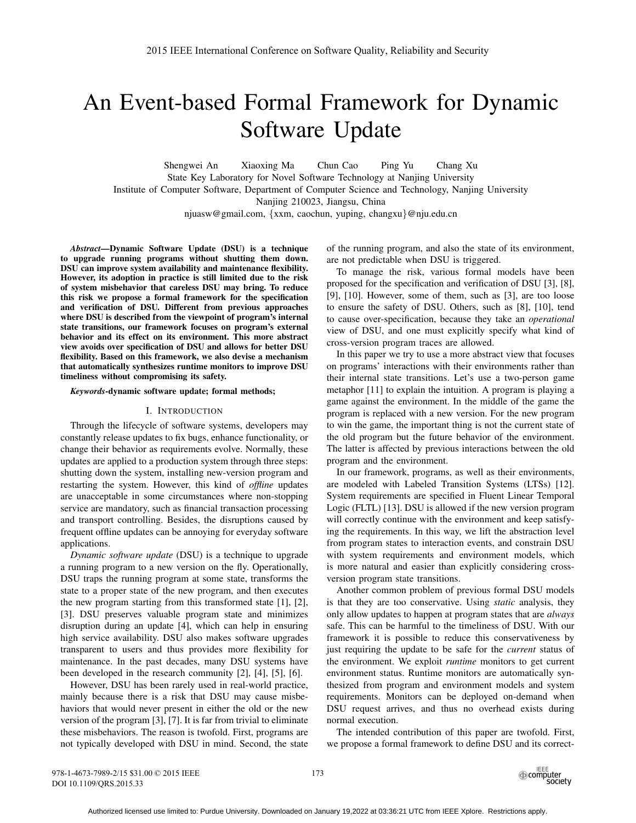# An Event-based Formal Framework for Dynamic Software Update

Shengwei An Xiaoxing Ma Chun Cao Ping Yu Chang Xu State Key Laboratory for Novel Software Technology at Nanjing University Institute of Computer Software, Department of Computer Science and Technology, Nanjing University Nanjing 210023, Jiangsu, China njuasw@gmail.com, {xxm, caochun, yuping, changxu}@nju.edu.cn

*Abstract*—Dynamic Software Update (DSU) is a technique to upgrade running programs without shutting them down. DSU can improve system availability and maintenance flexibility. However, its adoption in practice is still limited due to the risk of system misbehavior that careless DSU may bring. To reduce this risk we propose a formal framework for the specification and verification of DSU. Different from previous approaches where DSU is described from the viewpoint of program's internal state transitions, our framework focuses on program's external behavior and its effect on its environment. This more abstract view avoids over specification of DSU and allows for better DSU flexibility. Based on this framework, we also devise a mechanism that automatically synthesizes runtime monitors to improve DSU timeliness without compromising its safety.

#### *Keywords*-dynamic software update; formal methods;

#### I. INTRODUCTION

Through the lifecycle of software systems, developers may constantly release updates to fix bugs, enhance functionality, or change their behavior as requirements evolve. Normally, these updates are applied to a production system through three steps: shutting down the system, installing new-version program and restarting the system. However, this kind of *offline* updates are unacceptable in some circumstances where non-stopping service are mandatory, such as financial transaction processing and transport controlling. Besides, the disruptions caused by frequent offline updates can be annoying for everyday software applications.

*Dynamic software update* (DSU) is a technique to upgrade a running program to a new version on the fly. Operationally, DSU traps the running program at some state, transforms the state to a proper state of the new program, and then executes the new program starting from this transformed state [1], [2], [3]. DSU preserves valuable program state and minimizes disruption during an update [4], which can help in ensuring high service availability. DSU also makes software upgrades transparent to users and thus provides more flexibility for maintenance. In the past decades, many DSU systems have been developed in the research community [2], [4], [5], [6].

However, DSU has been rarely used in real-world practice, mainly because there is a risk that DSU may cause misbehaviors that would never present in either the old or the new version of the program [3], [7]. It is far from trivial to eliminate these misbehaviors. The reason is twofold. First, programs are not typically developed with DSU in mind. Second, the state of the running program, and also the state of its environment, are not predictable when DSU is triggered.

To manage the risk, various formal models have been proposed for the specification and verification of DSU [3], [8], [9], [10]. However, some of them, such as [3], are too loose to ensure the safety of DSU. Others, such as [8], [10], tend to cause over-specification, because they take an *operational* view of DSU, and one must explicitly specify what kind of cross-version program traces are allowed.

In this paper we try to use a more abstract view that focuses on programs' interactions with their environments rather than their internal state transitions. Let's use a two-person game metaphor [11] to explain the intuition. A program is playing a game against the environment. In the middle of the game the program is replaced with a new version. For the new program to win the game, the important thing is not the current state of the old program but the future behavior of the environment. The latter is affected by previous interactions between the old program and the environment.

In our framework, programs, as well as their environments, are modeled with Labeled Transition Systems (LTSs) [12]. System requirements are specified in Fluent Linear Temporal Logic (FLTL) [13]. DSU is allowed if the new version program will correctly continue with the environment and keep satisfying the requirements. In this way, we lift the abstraction level from program states to interaction events, and constrain DSU with system requirements and environment models, which is more natural and easier than explicitly considering crossversion program state transitions.

Another common problem of previous formal DSU models is that they are too conservative. Using *static* analysis, they only allow updates to happen at program states that are *always* safe. This can be harmful to the timeliness of DSU. With our framework it is possible to reduce this conservativeness by just requiring the update to be safe for the *current* status of the environment. We exploit *runtime* monitors to get current environment status. Runtime monitors are automatically synthesized from program and environment models and system requirements. Monitors can be deployed on-demand when DSU request arrives, and thus no overhead exists during normal execution.

The intended contribution of this paper are twofold. First, we propose a formal framework to define DSU and its correct-

978-1-4673-7989-2/15 \$31.00 © 2015 IEEE DOI 10.1109/QRS.2015.33

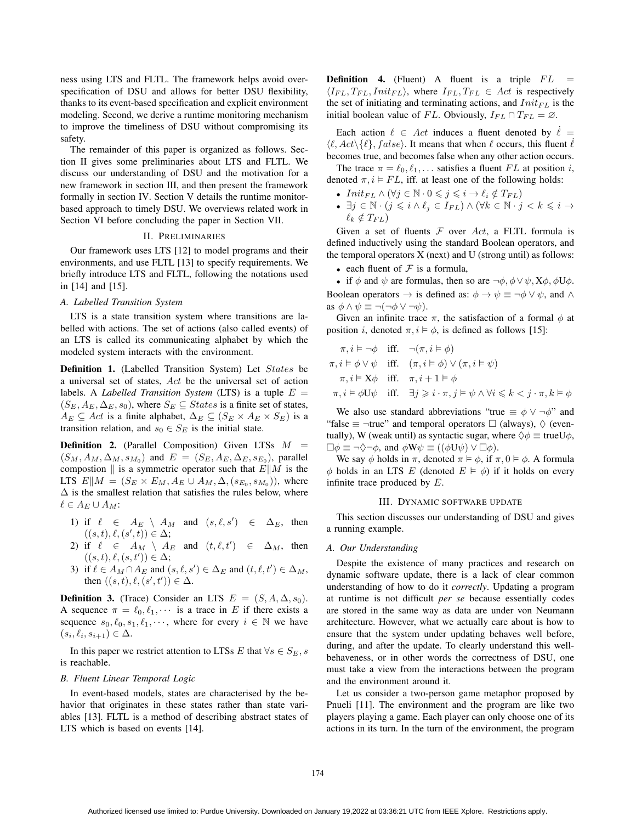ness using LTS and FLTL. The framework helps avoid overspecification of DSU and allows for better DSU flexibility, thanks to its event-based specification and explicit environment modeling. Second, we derive a runtime monitoring mechanism to improve the timeliness of DSU without compromising its safety.

The remainder of this paper is organized as follows. Section II gives some preliminaries about LTS and FLTL. We discuss our understanding of DSU and the motivation for a new framework in section III, and then present the framework formally in section IV. Section V details the runtime monitorbased approach to timely DSU. We overviews related work in Section VI before concluding the paper in Section VII.

### II. PRELIMINARIES

Our framework uses LTS [12] to model programs and their environments, and use FLTL [13] to specify requirements. We briefly introduce LTS and FLTL, following the notations used in [14] and [15].

# *A. Labelled Transition System*

LTS is a state transition system where transitions are labelled with actions. The set of actions (also called events) of an LTS is called its communicating alphabet by which the modeled system interacts with the environment.

Definition 1. (Labelled Transition System) Let *States* be a universal set of states, *Act* be the universal set of action labels. A *Labelled Transition System* (LTS) is a tuple *E* =  $(S_E, A_E, \Delta_E, s_0)$ , where  $S_E \subseteq States$  is a finite set of states,  $A_E \subseteq$  *Act* is a finite alphabet,  $\Delta_E \subseteq (S_E \times A_E \times S_E)$  is a transition relation, and  $s_0 \in S_E$  is the initial state.

Definition 2. (Parallel Composition) Given LTSs *M* =  $(S_M, A_M, \Delta_M, s_{M_0})$  and  $E = (S_E, A_E, \Delta_E, s_{E_0})$ , parallel compostion  $\parallel$  is a symmetric operator such that  $E\|M\|$  is the LTS  $E||M = (S_E × E_M, A_E ∪ A_M, Δ, (s_{E_0}, s_{M_0}))$ , where  $\Delta$  is the smallest relation that satisfies the rules below, where  $\ell ∈ A_E ∪ A_M$ :

- 1) if  $\ell \in A_E \setminus A_M$  and  $(s, \ell, s') \in \Delta_E$ , then  $((s,t),\ell,(s',t)) \in \Delta;$
- 2) if  $\ell \in A_M \setminus A_E$  and  $(t, \ell, t') \in \Delta_M$ , then  $((s,t), \ell, (s,t')) \in \Delta;$
- 3) if  $\ell \in A_M \cap A_E$  and  $(s, \ell, s') \in \Delta_E$  and  $(t, \ell, t') \in \Delta_M$ , then  $((s,t), \ell, (s',t')) \in \Delta$ .

**Definition 3.** (Trace) Consider an LTS  $E = (S, A, \Delta, s_0)$ . A sequence  $\pi = \ell_0, \ell_1, \cdots$  is a trace in *E* if there exists a sequence  $s_0, \ell_0, s_1, \ell_1, \cdots$ , where for every  $i \in \mathbb{N}$  we have  $(s_i, \ell_i, s_{i+1}) \in \Delta.$ 

In this paper we restrict attention to LTSs  $E$  that  $\forall s \in S_E$ , s is reachable.

## *B. Fluent Linear Temporal Logic*

In event-based models, states are characterised by the behavior that originates in these states rather than state variables [13]. FLTL is a method of describing abstract states of LTS which is based on events [14].

**Definition 4.** (Fluent) A fluent is a triple  $FL =$  $\langle I_{FL}, T_{FL},Init_{FL} \rangle$ , where  $I_{FL}, T_{FL} \in Act$  is respectively the set of initiating and terminating actions, and  $Init_{FL}$  is the initial boolean value of *FL*. Obviously,  $I_{FL} \cap T_{FL} = \emptyset$ .

Each action  $\ell \in Act$  induces a fluent denoted by  $\dot{\ell} =$  $\langle \ell, Act \rangle \{ \ell \}, false \rangle$ . It means that when  $\ell$  occurs, this fluent  $\ell$ becomes true, and becomes false when any other action occurs.

The trace  $\pi = \ell_0, \ell_1, \ldots$  satisfies a fluent *FL* at position *i*, denoted  $\pi, i \models FL$ , iff. at least one of the following holds:

- $Init_{FL} \wedge (\forall j \in \mathbb{N} \cdot 0 \leqslant j \leqslant i \rightarrow \ell_i \notin T_{FL})$
- $\exists j \in \mathbb{N} \cdot (j \leq i \land \ell_j \in I_{FL}) \land (\forall k \in \mathbb{N} \cdot j < k \leq i$  →  $\ell_k \notin T_{FL}$

Given a set of fluents  $F$  over  $Act$ , a FLTL formula is defined inductively using the standard Boolean operators, and the temporal operators X (next) and U (strong until) as follows:

• each fluent of  $F$  is a formula,

• if  $\phi$  and  $\psi$  are formulas, then so are  $\neg \phi$ ,  $\phi \lor \psi$ ,  $X\phi$ ,  $\phi U\phi$ . Boolean operators  $\rightarrow$  is defined as:  $\phi \rightarrow \psi \equiv \neg \phi \lor \psi$ , and  $\land$ as  $\phi \wedge \psi \equiv \neg(\neg \phi \vee \neg \psi)$ .

Given an infinite trace  $\pi$ , the satisfaction of a formal  $\phi$  at position *i*, denoted  $\pi$ ,  $i \models \phi$ , is defined as follows [15]:

$$
\pi, i \vDash \neg \phi \quad \text{iff.} \quad \neg(\pi, i \vDash \phi)
$$
\n
$$
\pi, i \vDash \phi \lor \psi \quad \text{iff.} \quad (\pi, i \vDash \phi) \lor (\pi, i \vDash \psi)
$$
\n
$$
\pi, i \vDash X\phi \quad \text{iff.} \quad \pi, i + 1 \vDash \phi
$$
\n
$$
\pi, i \vDash \phi \mathcal{U}\psi \quad \text{iff.} \quad \exists j \geqslant i \cdot \pi, j \vDash \psi \land \forall i \leqslant k < j \cdot \pi, k \vDash \phi
$$

We also use standard abbreviations "true  $\equiv \phi \lor \neg \phi$ " and "false  $\equiv \neg$ true" and temporal operators  $\Box$  (always),  $\Diamond$  (eventually), W (weak until) as syntactic sugar, where  $\Diamond \phi \equiv \text{trueU}\phi$ ,  $\Box \phi \equiv \neg \Diamond \neg \phi$ , and  $\phi \mathbf{W} \psi \equiv ((\phi \mathbf{U} \psi) \vee \Box \phi)$ .

We say  $\phi$  holds in  $\pi$ , denoted  $\pi \models \phi$ , if  $\pi$ ,  $0 \models \phi$ . A formula  $\phi$  holds in an LTS *E* (denoted  $E \models \phi$ ) if it holds on every infinite trace produced by *E*.

## III. DYNAMIC SOFTWARE UPDATE

This section discusses our understanding of DSU and gives a running example.

#### *A. Our Understanding*

Despite the existence of many practices and research on dynamic software update, there is a lack of clear common understanding of how to do it *correctly*. Updating a program at runtime is not difficult *per se* because essentially codes are stored in the same way as data are under von Neumann architecture. However, what we actually care about is how to ensure that the system under updating behaves well before, during, and after the update. To clearly understand this wellbehaveness, or in other words the correctness of DSU, one must take a view from the interactions between the program and the environment around it.

Let us consider a two-person game metaphor proposed by Pnueli [11]. The environment and the program are like two players playing a game. Each player can only choose one of its actions in its turn. In the turn of the environment, the program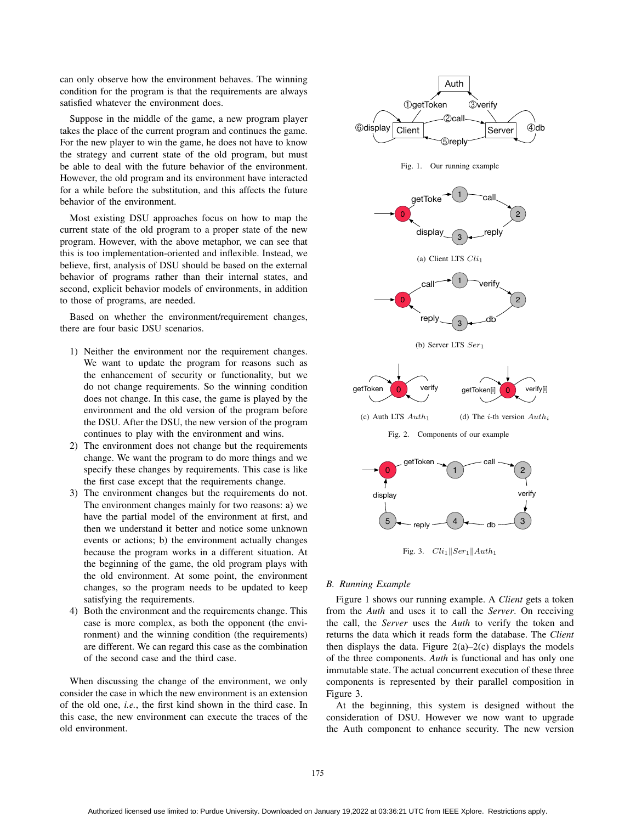can only observe how the environment behaves. The winning condition for the program is that the requirements are always satisfied whatever the environment does.

Suppose in the middle of the game, a new program player takes the place of the current program and continues the game. For the new player to win the game, he does not have to know the strategy and current state of the old program, but must be able to deal with the future behavior of the environment. However, the old program and its environment have interacted for a while before the substitution, and this affects the future behavior of the environment.

Most existing DSU approaches focus on how to map the current state of the old program to a proper state of the new program. However, with the above metaphor, we can see that this is too implementation-oriented and inflexible. Instead, we believe, first, analysis of DSU should be based on the external behavior of programs rather than their internal states, and second, explicit behavior models of environments, in addition to those of programs, are needed.

Based on whether the environment/requirement changes, there are four basic DSU scenarios.

- 1) Neither the environment nor the requirement changes. We want to update the program for reasons such as the enhancement of security or functionality, but we do not change requirements. So the winning condition does not change. In this case, the game is played by the environment and the old version of the program before the DSU. After the DSU, the new version of the program continues to play with the environment and wins.
- 2) The environment does not change but the requirements change. We want the program to do more things and we specify these changes by requirements. This case is like the first case except that the requirements change.
- 3) The environment changes but the requirements do not. The environment changes mainly for two reasons: a) we have the partial model of the environment at first, and then we understand it better and notice some unknown events or actions; b) the environment actually changes because the program works in a different situation. At the beginning of the game, the old program plays with the old environment. At some point, the environment changes, so the program needs to be updated to keep satisfying the requirements.
- 4) Both the environment and the requirements change. This case is more complex, as both the opponent (the environment) and the winning condition (the requirements) are different. We can regard this case as the combination of the second case and the third case.

When discussing the change of the environment, we only consider the case in which the new environment is an extension of the old one, *i.e.*, the first kind shown in the third case. In this case, the new environment can execute the traces of the old environment.



Fig. 3.  $Cli_1$  || $Ser_1$ || $Author_1$ 

## *B. Running Example*

Figure 1 shows our running example. A *Client* gets a token from the *Auth* and uses it to call the *Server*. On receiving the call, the *Server* uses the *Auth* to verify the token and returns the data which it reads form the database. The *Client* then displays the data. Figure  $2(a)$ – $2(c)$  displays the models of the three components. *Auth* is functional and has only one immutable state. The actual concurrent execution of these three components is represented by their parallel composition in Figure 3.

At the beginning, this system is designed without the consideration of DSU. However we now want to upgrade the Auth component to enhance security. The new version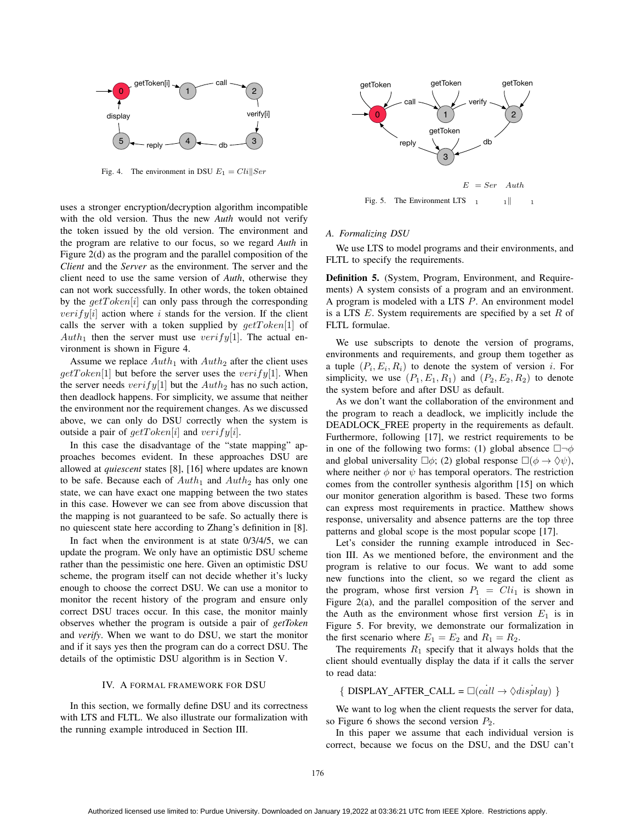

Fig. 4. The environment in DSU  $E_1 = Cli \parallel Ser$ 

uses a stronger encryption/decryption algorithm incompatible with the old version. Thus the new *Auth* would not verify the token issued by the old version. The environment and the program are relative to our focus, so we regard *Auth* in Figure 2(d) as the program and the parallel composition of the *Client* and the *Server* as the environment. The server and the client need to use the same version of *Auth*, otherwise they can not work successfully. In other words, the token obtained by the *getT oken*[*i*] can only pass through the corresponding *verify*[ $i$ ] action where  $i$  stands for the version. If the client calls the server with a token supplied by *getT oken*[1] of  $Author_1$  then the server must use *verify*[1]. The actual environment is shown in Figure 4.

Assume we replace  $\text{Aut}h_1$  with  $\text{Aut}h_2$  after the client uses *getT oken*[1] but before the server uses the *verify*[1]. When the server needs  $verify[1]$  but the  $Auth_2$  has no such action, then deadlock happens. For simplicity, we assume that neither the environment nor the requirement changes. As we discussed above, we can only do DSU correctly when the system is outside a pair of *getT oken*[*i*] and *verify*[*i*].

In this case the disadvantage of the "state mapping" approaches becomes evident. In these approaches DSU are allowed at *quiescent* states [8], [16] where updates are known to be safe. Because each of  $Auth_1$  and  $Auth_2$  has only one state, we can have exact one mapping between the two states in this case. However we can see from above discussion that the mapping is not guaranteed to be safe. So actually there is no quiescent state here according to Zhang's definition in [8].

In fact when the environment is at state 0/3/4/5, we can update the program. We only have an optimistic DSU scheme rather than the pessimistic one here. Given an optimistic DSU scheme, the program itself can not decide whether it's lucky enough to choose the correct DSU. We can use a monitor to monitor the recent history of the program and ensure only correct DSU traces occur. In this case, the monitor mainly observes whether the program is outside a pair of *getToken* and *verify*. When we want to do DSU, we start the monitor and if it says yes then the program can do a correct DSU. The details of the optimistic DSU algorithm is in Section V.

### IV. A FORMAL FRAMEWORK FOR DSU

In this section, we formally define DSU and its correctness with LTS and FLTL. We also illustrate our formalization with the running example introduced in Section III.



Fig. 5. The Environment LTS 1  $1||$ 1

## *A. Formalizing DSU*

We use LTS to model programs and their environments, and FLTL to specify the requirements.

Definition 5. (System, Program, Environment, and Requirements) A system consists of a program and an environment. A program is modeled with a LTS *P*. An environment model is a LTS *E*. System requirements are specified by a set *R* of FLTL formulae.

We use subscripts to denote the version of programs, environments and requirements, and group them together as a tuple  $(P_i, E_i, R_i)$  to denote the system of version *i*. For simplicity, we use  $(P_1, E_1, R_1)$  and  $(P_2, E_2, R_2)$  to denote the system before and after DSU as default.

As we don't want the collaboration of the environment and the program to reach a deadlock, we implicitly include the DEADLOCK FREE property in the requirements as default. Furthermore, following [17], we restrict requirements to be in one of the following two forms: (1) global absence  $\Box \neg \phi$ and global universality  $\Box \phi$ ; (2) global response  $\Box (\phi \rightarrow \Diamond \psi)$ , where neither  $\phi$  nor  $\psi$  has temporal operators. The restriction comes from the controller synthesis algorithm [15] on which our monitor generation algorithm is based. These two forms can express most requirements in practice. Matthew shows response, universality and absence patterns are the top three patterns and global scope is the most popular scope [17].

Let's consider the running example introduced in Section III. As we mentioned before, the environment and the program is relative to our focus. We want to add some new functions into the client, so we regard the client as the program, whose first version  $P_1 = Cli_1$  is shown in Figure 2(a), and the parallel composition of the server and the Auth as the environment whose first version  $E_1$  is in Figure 5. For brevity, we demonstrate our formalization in the first scenario where  $E_1 = E_2$  and  $R_1 = R_2$ .

The requirements  $R_1$  specify that it always holds that the client should eventually display the data if it calls the server to read data:

 $\{$  DISPLAY\_AFTER\_CALL =  $\Box (call \rightarrow \Diamond display)$  }

We want to log when the client requests the server for data, so Figure 6 shows the second version *P*2.

In this paper we assume that each individual version is correct, because we focus on the DSU, and the DSU can't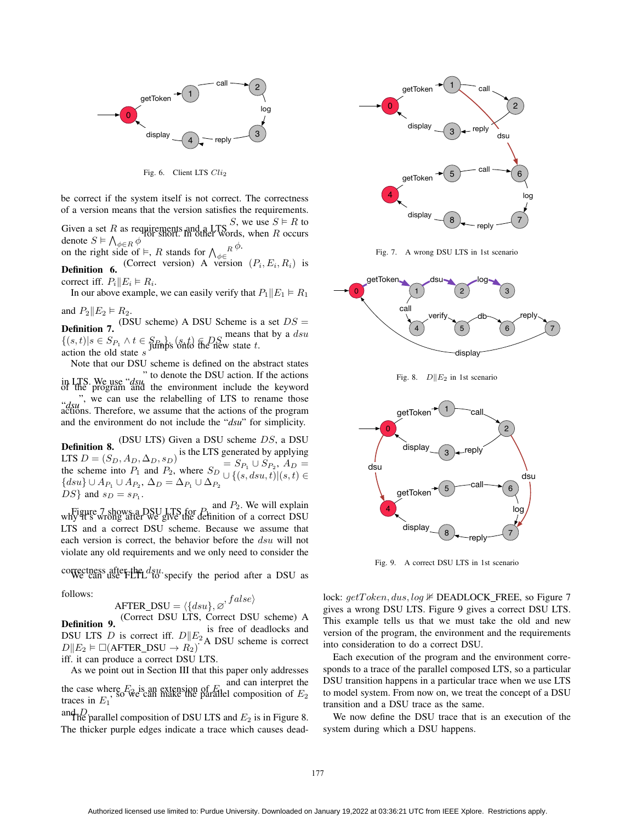

Fig. 6. Client LTS *Cli*<sup>2</sup>

be correct if the system itself is not correct. The correctness of a version means that the version satisfies the requirements. Given a set *R* as requirements and a LTS *S*, we use  $S \models R$  to  $denote S \vDash \bigwedge$  $\Lambda_{\phi \in R} \phi$ <br> $\phi_{\phi \in R} \phi$  for short. In other words, when *R* occurs

on the right side of  $\models$ , *R* stands for  $\bigwedge$ <sup>R</sup> *φ*.

on the right side of  $\vdash$ , *R* stands for  $\bigwedge_{\phi \in \mathcal{C}} f(\phi)$ <br>**Definition 6.** (Correct version) A version  $(P_i, E_i, R_i)$  is correct iff.  $P_i || E_i \models R_i$ .

In our above example, we can easily verify that  $P_1 \parallel E_1 \models R_1$ 

and  $P_2 || E_2 \models R_2$ . **Definition 7.** (DSU scheme) A DSU Scheme is a set  $DS =$  $\{(s,t)|s \in S_{P_1} \land t \in S_{H_2} \}$  (*s*, *t*)  $\overline{f}$   $\overline{g}$  means that by a *dsu*  $\int_{0}^{\infty}$   $\int_{0}^{\infty}$   $\int_{0}^{\infty}$   $\int_{0}^{\infty}$   $\int_{0}^{\infty}$   $\int_{0}^{\infty}$   $\int_{0}^{\infty}$   $\int_{0}^{\infty}$   $\int_{0}^{\infty}$   $\int_{0}^{\infty}$   $\int_{0}^{\infty}$   $\int_{0}^{\infty}$   $\int_{0}^{\infty}$   $\int_{0}^{\infty}$   $\int_{0}^{\infty}$   $\int_{0}^{\infty}$   $\int_{0}^{\infty}$ 

Note that our DSU scheme is defined on the abstract states in LTS. We use "*dsu*" to denote the DSU action. If the actions of the program and the environment include the keyword  $\frac{d}{d\delta u}$ , we can use the relabelling of LTS to rename those actions. Therefore, we assume that the actions of the program and the environment do not include the "*dsu*" for simplicity.

Definition 8. (DSU LTS) Given a DSU scheme *DS*, a DSU **LTS**  $D = (S_D, A_D, \Delta_D, s_D)$  is the LTS generated by applying  $S = (S_D, A_D, \Delta_D, s_D)$ the scheme into  $P_1$  and  $P_2$ , where  $S_{D}$   $\bigcup_{1 \leq l \leq s} S_{P_1} \cup S_{P_2}$ ,  $A_D$  =  $\{dsu\}\cup A_{P_1}\cup A_{P_2},\, \Delta_D=\Delta_{P_1}\cup \Delta_{P_2}$ ∪ {(*s, dsu, t*)|(*s, t*) ∈  $DS$ } and  $s_D = s_{P_1}$ .

Figure 7 shows a DSU LTS for *P*<sup>1</sup> and *P*2. We will explain why it's wrong after we give the definition of a correct DSU LTS and a correct DSU scheme. Because we assume that each version is correct, the behavior before the *dsu* will not violate any old requirements and we only need to consider the

correctness after the *dsu*. Specify the period after a DSU as we can use FLTL to specify the period after a DSU as

follows:

$$
{\sf AFTER\_DSU} = \langle \{dsu\}, \varnothing, \textit{false}\rangle
$$

**Definition 9.** (Correct DSU LTS, Correct DSU scheme) A **DSU LTS** *D* is correct iff.  $D||E_2|$  **A DSU** scheme is correct  $D||E_2 \vDash \Box(A \text{FTER\_DSU} \rightarrow R_2)$ <sup>2</sup>A DSU scheme is correct iff. it can produce a correct DSU LTS.

As we point out in Section III that this paper only addresses the case where  $E_2$  is an extension of  $E_1$  and can interpret the traces in  $E_2$ <sup>5</sup>. So we can make the parallel composition of  $E_2$ and can interpret the traces in  $E_1$ <sup>'</sup>

and  $D$ <sub>p</sub> parallel composition of DSU LTS and  $E_2$  is in Figure 8. The thicker purple edges indicate a trace which causes dead-



Fig. 7. A wrong DSU LTS in 1st scenario



Fig. 8.  $D||E_2$  in 1st scenario



Fig. 9. A correct DSU LTS in 1st scenario

lock: *getToken, dus, log* ⊯ DEADLOCK\_FREE, so Figure 7 gives a wrong DSU LTS. Figure 9 gives a correct DSU LTS. This example tells us that we must take the old and new version of the program, the environment and the requirements into consideration to do a correct DSU.

Each execution of the program and the environment corresponds to a trace of the parallel composed LTS, so a particular DSU transition happens in a particular trace when we use LTS to model system. From now on, we treat the concept of a DSU transition and a DSU trace as the same.

We now define the DSU trace that is an execution of the system during which a DSU happens.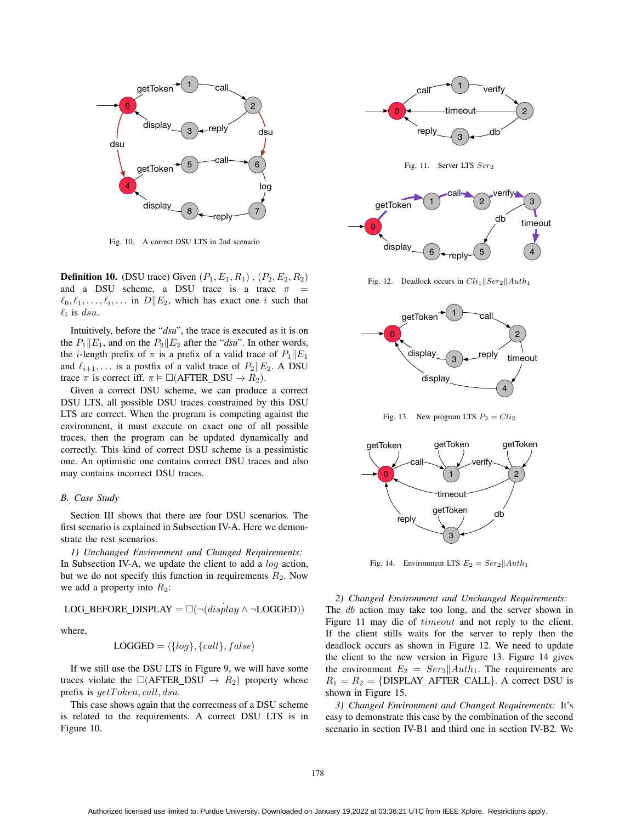

Fig. 10. A correct DSU LTS in 2nd scenario

**Definition 10.** (DSU trace) Given  $(P_1, E_1, R_1)$ ,  $(P_2, E_2, R_2)$ and a DSU scheme, a DSU trace is a trace  $\pi$  =  $\ell_0, \ell_1, \ldots, \ell_i, \ldots$  in  $D||E_2$ , which has exact one *i* such that  $\ell_i$  is *dsu*.

Intuitively, before the "*dsu*", the trace is executed as it is on the  $P_1||E_1$ , and on the  $P_2||E_2$  after the "*dsu*". In other words, the *i*-length prefix of  $\pi$  is a prefix of a valid trace of  $P_1||E_1$ and  $\ell_{i+1}, \ldots$  is a postfix of a valid trace of  $P_2 \parallel E_2$ . A DSU trace  $\pi$  is correct iff.  $\pi \models \Box(\text{AFTER\_DSU} \rightarrow R_2)$ .

Given a correct DSU scheme, we can produce a correct DSU LTS, all possible DSU traces constrained by this DSU LTS are correct. When the program is competing against the environment, it must execute on exact one of all possible traces, then the program can be updated dynamically and correctly. This kind of correct DSU scheme is a pessimistic one. An optimistic one contains correct DSU traces and also may contains incorrect DSU traces.

## *B. Case Study*

Section III shows that there are four DSU scenarios. The first scenario is explained in Subsection IV-A. Here we demonstrate the rest scenarios.

*1) Unchanged Environment and Changed Requirements:* In Subsection IV-A, we update the client to add a *log* action, but we do not specify this function in requirements  $R_2$ . Now we add a property into  $R_2$ :

$$
LOG\_BEFORE\_DISPLAN = \Box(\neg (display \land \neg LOGGED))
$$

where,

$$
LOGGED = \langle \{log\}, \{call\}, false \rangle
$$

If we still use the DSU LTS in Figure 9, we will have some traces violate the  $\Box$ (AFTER DSU  $\rightarrow$  *R*<sub>2</sub>) property whose prefix is *getT oken, call, dsu*.

This case shows again that the correctness of a DSU scheme is related to the requirements. A correct DSU LTS is in Figure 10.



Fig. 12. Deadlock occurs in  $Cli_1$   $|Ser_2| |Auth_1$ 



Fig. 13. New program LTS  $P_2 = Cli_2$ 



Fig. 14. Environment LTS  $E_2 = \text{S}er_2||\text{Aut}h_1$ 

*2) Changed Environment and Unchanged Requirements:* The *db* action may take too long, and the server shown in Figure 11 may die of *timeout* and not reply to the client. If the client stills waits for the server to reply then the deadlock occurs as shown in Figure 12. We need to update the client to the new version in Figure 13. Figure 14 gives the environment  $E_2 = Ser_2||\Delta uth_1$ . The requirements are  $R_1 = R_2 = {DISPLAY\_AFFTER\_CALL}$ . A correct DSU is shown in Figure 15.

*3) Changed Environment and Changed Requirements:* It's easy to demonstrate this case by the combination of the second scenario in section IV-B1 and third one in section IV-B2. We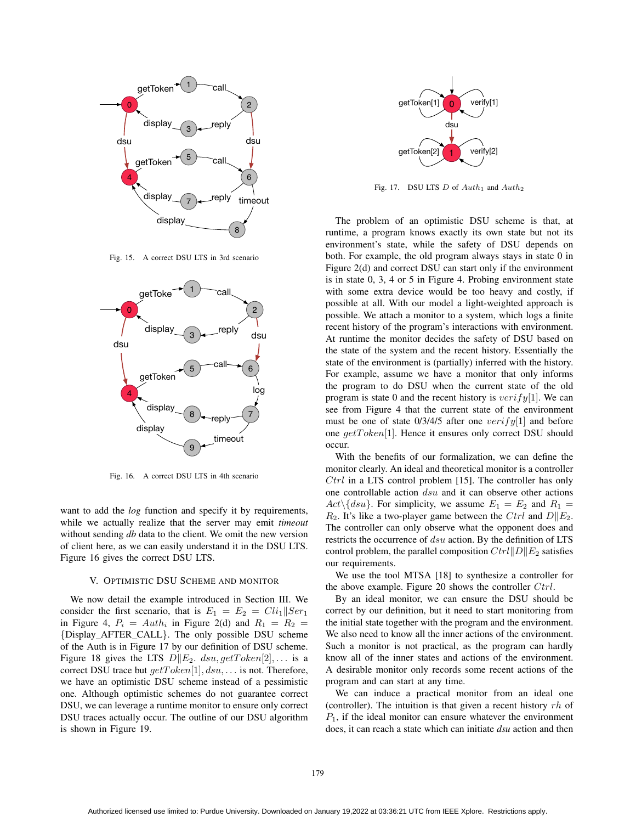

Fig. 15. A correct DSU LTS in 3rd scenario



Fig. 16. A correct DSU LTS in 4th scenario

want to add the *log* function and specify it by requirements, while we actually realize that the server may emit *timeout* without sending *db* data to the client. We omit the new version of client here, as we can easily understand it in the DSU LTS. Figure 16 gives the correct DSU LTS.

## V. OPTIMISTIC DSU SCHEME AND MONITOR

We now detail the example introduced in Section III. We consider the first scenario, that is  $E_1 = E_2 = Cli_1||\text{Ser}_1$ in Figure 4,  $P_i = \text{Aut } h_i$  in Figure 2(d) and  $R_1 = R_2 =$ {Display AFTER CALL}. The only possible DSU scheme of the Auth is in Figure 17 by our definition of DSU scheme. Figure 18 gives the LTS  $D||E_2$ .  $dsu, getToken[2],...$  is a correct DSU trace but *getT oken*[1]*, dsu, . . .* is not. Therefore, we have an optimistic DSU scheme instead of a pessimistic one. Although optimistic schemes do not guarantee correct DSU, we can leverage a runtime monitor to ensure only correct DSU traces actually occur. The outline of our DSU algorithm is shown in Figure 19.



Fig. 17. DSU LTS *D* of  $Auth_1$  and  $Auth_2$ 

The problem of an optimistic DSU scheme is that, at runtime, a program knows exactly its own state but not its environment's state, while the safety of DSU depends on both. For example, the old program always stays in state 0 in Figure 2(d) and correct DSU can start only if the environment is in state 0, 3, 4 or 5 in Figure 4. Probing environment state with some extra device would be too heavy and costly, if possible at all. With our model a light-weighted approach is possible. We attach a monitor to a system, which logs a finite recent history of the program's interactions with environment. At runtime the monitor decides the safety of DSU based on the state of the system and the recent history. Essentially the state of the environment is (partially) inferred with the history. For example, assume we have a monitor that only informs the program to do DSU when the current state of the old program is state 0 and the recent history is *verify*[1]. We can see from Figure 4 that the current state of the environment must be one of state 0/3/4/5 after one *verify*[1] and before one *getT oken*[1]. Hence it ensures only correct DSU should occur.

With the benefits of our formalization, we can define the monitor clearly. An ideal and theoretical monitor is a controller *Ctrl* in a LTS control problem [15]. The controller has only one controllable action *dsu* and it can observe other actions  $Act \setminus \{dsu\}$ . For simplicity, we assume  $E_1 = E_2$  and  $R_1 =$  $R_2$ . It's like a two-player game between the *Ctrl* and  $D||E_2$ . The controller can only observe what the opponent does and restricts the occurrence of *dsu* action. By the definition of LTS control problem, the parallel composition  $Ctrl \| D \| E_2$  satisfies our requirements.

We use the tool MTSA [18] to synthesize a controller for the above example. Figure 20 shows the controller *Ctrl*.

By an ideal monitor, we can ensure the DSU should be correct by our definition, but it need to start monitoring from the initial state together with the program and the environment. We also need to know all the inner actions of the environment. Such a monitor is not practical, as the program can hardly know all of the inner states and actions of the environment. A desirable monitor only records some recent actions of the program and can start at any time.

We can induce a practical monitor from an ideal one (controller). The intuition is that given a recent history *rh* of *P*1, if the ideal monitor can ensure whatever the environment does, it can reach a state which can initiate *dsu* action and then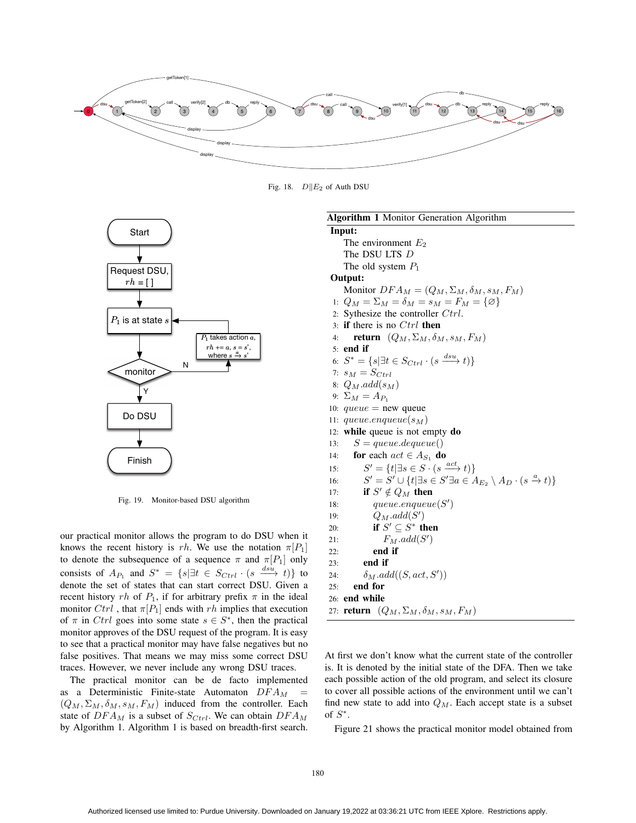

Fig. 18.  $D||E_2$  of Auth DSU



Fig. 19. Monitor-based DSU algorithm

our practical monitor allows the program to do DSU when it knows the recent history is *rh*. We use the notation  $\pi[P_1]$ to denote the subsequence of a sequence  $\pi$  and  $\pi[P_1]$  only consists of  $A_{P_1}$  and  $S^* = \{s | \exists t \in S_{Ctrl} \cdot (s \xrightarrow{dsu} t) \}$  to denote the set of states that can start correct DSU. Given a recent history *rh* of  $P_1$ , if for arbitrary prefix  $\pi$  in the ideal monitor  $Ctrl$ , that  $\pi[P_1]$  ends with  $rh$  implies that execution of  $\pi$  in *Ctrl* goes into some state  $s \in S^*$ , then the practical monitor approves of the DSU request of the program. It is easy to see that a practical monitor may have false negatives but no false positives. That means we may miss some correct DSU traces. However, we never include any wrong DSU traces.

The practical monitor can be de facto implemented as a Deterministic Finite-state Automaton  $DFA_M$  $(Q_M, \Sigma_M, \delta_M, s_M, F_M)$  induced from the controller. Each state of  $DFA_M$  is a subset of  $S_{Ctrl}$ . We can obtain  $DFA_M$ by Algorithm 1. Algorithm 1 is based on breadth-first search.

Algorithm 1 Monitor Generation Algorithm Input: The environment  $E_2$ The DSU LTS *D* The old system *P*<sup>1</sup> Output: Monitor  $DFA_M = (Q_M, \Sigma_M, \delta_M, s_M, F_M)$ 1:  $Q_M = \Sigma_M = \delta_M = s_M = F_M = \{\varnothing\}$ 2: Sythesize the controller *Ctrl*. 3: if there is no *Ctrl* then 4: **return**  $(Q_M, \Sigma_M, \delta_M, s_M, F_M)$ 5: end if 6:  $S^* = \{s | \exists t \in S_{Ctrl} \cdot (s \xrightarrow{dsu} t) \}$ 7:  $s_M = S_{Ctrl}$ 8:  $Q_M.add(s_M)$ 9:  $\Sigma_M = A_{P_1}$ 10:  $queue = new queue$ 11: *queue.enqueue*( $s_M$ ) 12: while queue is not empty do 13:  $S = queue.dequeue()$ 14: **for** each  $act \in A_{S_1}$  **do** 15:  $S' = \{t | \exists s \in S \cdot (s \xrightarrow{act} t)\}$ 16:  $S' = S' \cup \{t | \exists s \in S' \exists a \in A_{E_2} \setminus A_D \cdot (s \xrightarrow{a} t)\}$ 17: **if**  $S' \notin Q_M$  then 18:  $queue. \nspace = \nspace q \times (S')$ 19:  $Q_M.add(S')$ 20: **if**  $S' \subseteq S^*$  then 21:  $F_M.add(S')$ 22: end if  $23:$  end if 24:  $\delta_M.add((S, act, S'))$ 25: end for 26: end while 27: **return**  $(Q_M, \Sigma_M, \delta_M, s_M, F_M)$ 

At first we don't know what the current state of the controller is. It is denoted by the initial state of the DFA. Then we take each possible action of the old program, and select its closure to cover all possible actions of the environment until we can't find new state to add into  $Q_M$ . Each accept state is a subset of *S*∗.

Figure 21 shows the practical monitor model obtained from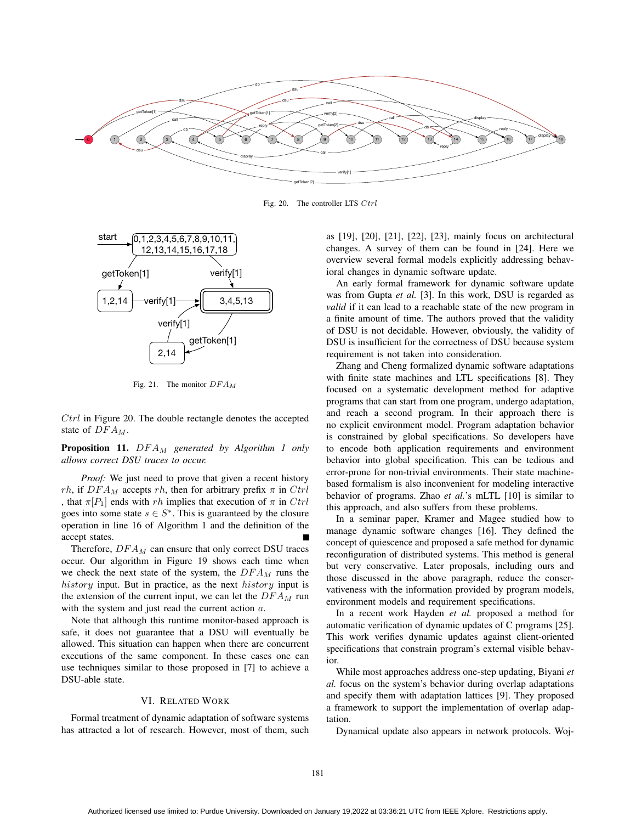

Fig. 20. The controller LTS *Ctrl*



Fig. 21. The monitor  $DFA_M$ 

*Ctrl* in Figure 20. The double rectangle denotes the accepted state of  $DFA_M$ .

**Proposition 11.** DFA<sub>M</sub> generated by Algorithm 1 only *allows correct DSU traces to occur.*

*Proof:* We just need to prove that given a recent history *rh*, if  $DFA_M$  accepts *rh*, then for arbitrary prefix  $\pi$  in *Ctrl* , that  $\pi[P_1]$  ends with *rh* implies that execution of  $\pi$  in *Ctrl* goes into some state  $s \in S^*$ . This is guaranteed by the closure operation in line 16 of Algorithm 1 and the definition of the accept states.

Therefore,  $DFA_M$  can ensure that only correct DSU traces occur. Our algorithm in Figure 19 shows each time when we check the next state of the system, the  $DFA_M$  runs the *history* input. But in practice, as the next *history* input is the extension of the current input, we can let the  $DFA_M$  run with the system and just read the current action *a*.

Note that although this runtime monitor-based approach is safe, it does not guarantee that a DSU will eventually be allowed. This situation can happen when there are concurrent executions of the same component. In these cases one can use techniques similar to those proposed in [7] to achieve a DSU-able state.

# VI. RELATED WORK

Formal treatment of dynamic adaptation of software systems has attracted a lot of research. However, most of them, such as [19], [20], [21], [22], [23], mainly focus on architectural changes. A survey of them can be found in [24]. Here we overview several formal models explicitly addressing behavioral changes in dynamic software update.

An early formal framework for dynamic software update was from Gupta *et al.* [3]. In this work, DSU is regarded as *valid* if it can lead to a reachable state of the new program in a finite amount of time. The authors proved that the validity of DSU is not decidable. However, obviously, the validity of DSU is insufficient for the correctness of DSU because system requirement is not taken into consideration.

Zhang and Cheng formalized dynamic software adaptations with finite state machines and LTL specifications [8]. They focused on a systematic development method for adaptive programs that can start from one program, undergo adaptation, and reach a second program. In their approach there is no explicit environment model. Program adaptation behavior is constrained by global specifications. So developers have to encode both application requirements and environment behavior into global specification. This can be tedious and error-prone for non-trivial environments. Their state machinebased formalism is also inconvenient for modeling interactive behavior of programs. Zhao *et al.*'s mLTL [10] is similar to this approach, and also suffers from these problems.

In a seminar paper, Kramer and Magee studied how to manage dynamic software changes [16]. They defined the concept of quiescence and proposed a safe method for dynamic reconfiguration of distributed systems. This method is general but very conservative. Later proposals, including ours and those discussed in the above paragraph, reduce the conservativeness with the information provided by program models, environment models and requirement specifications.

In a recent work Hayden *et al.* proposed a method for automatic verification of dynamic updates of C programs [25]. This work verifies dynamic updates against client-oriented specifications that constrain program's external visible behavior.

While most approaches address one-step updating, Biyani *et al.* focus on the system's behavior during overlap adaptations and specify them with adaptation lattices [9]. They proposed a framework to support the implementation of overlap adaptation.

Dynamical update also appears in network protocols. Woj-